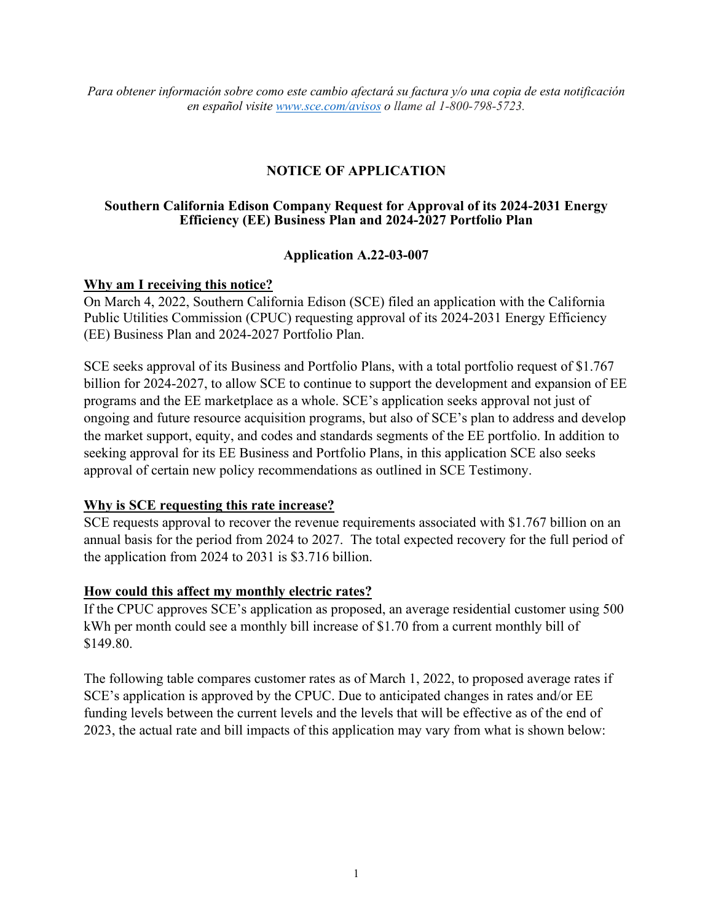# **NOTICE OF APPLICATION**

#### **Southern California Edison Company Request for Approval of its 2024-2031 Energy Efficiency (EE) Business Plan and 2024-2027 Portfolio Plan**

#### **Application A.22-03-007**

### **Why am I receiving this notice?**

On March 4, 2022, Southern California Edison (SCE) filed an application with the California Public Utilities Commission (CPUC) requesting approval of its 2024-2031 Energy Efficiency (EE) Business Plan and 2024-2027 Portfolio Plan.

SCE seeks approval of its Business and Portfolio Plans, with a total portfolio request of \$1.767 billion for 2024-2027, to allow SCE to continue to support the development and expansion of EE programs and the EE marketplace as a whole. SCE's application seeks approval not just of ongoing and future resource acquisition programs, but also of SCE's plan to address and develop the market support, equity, and codes and standards segments of the EE portfolio. In addition to seeking approval for its EE Business and Portfolio Plans, in this application SCE also seeks approval of certain new policy recommendations as outlined in SCE Testimony.

## **Why is SCE requesting this rate increase?**

SCE requests approval to recover the revenue requirements associated with \$1.767 billion on an annual basis for the period from 2024 to 2027. The total expected recovery for the full period of the application from 2024 to 2031 is \$3.716 billion.

## **How could this affect my monthly electric rates?**

If the CPUC approves SCE's application as proposed, an average residential customer using 500 kWh per month could see a monthly bill increase of \$1.70 from a current monthly bill of \$149.80.

The following table compares customer rates as of March 1, 2022, to proposed average rates if SCE's application is approved by the CPUC. Due to anticipated changes in rates and/or EE funding levels between the current levels and the levels that will be effective as of the end of 2023, the actual rate and bill impacts of this application may vary from what is shown below: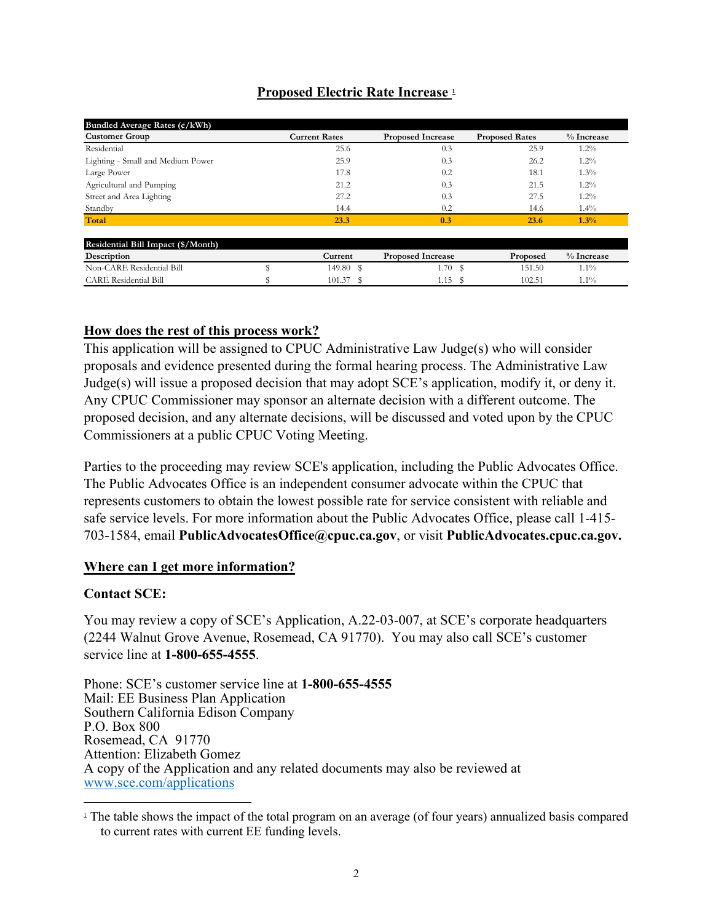# **Proposed Electric Rate Increase [1](#page-1-0)**

| Bundled Average Rates $\frac{\overline{c}}{kWh}$ |   |                      |                          |                       |            |
|--------------------------------------------------|---|----------------------|--------------------------|-----------------------|------------|
| <b>Customer Group</b>                            |   | <b>Current Rates</b> | <b>Proposed Increase</b> | <b>Proposed Rates</b> | % Increase |
| Residential                                      |   | 25.6                 | 0.3                      | 25.9                  | $1.2\%$    |
| Lighting - Small and Medium Power                |   | 25.9                 | 0.3                      | 26.2                  | $1.2\%$    |
| Large Power                                      |   | 17.8                 | 0.2                      | 18.1                  | $1.3\%$    |
| Agricultural and Pumping                         |   | 21.2                 | 0.3                      | 21.5                  | $1.2\%$    |
| Street and Area Lighting                         |   | 27.2                 | 0.3                      | 27.5                  | $1.2\%$    |
| Standby                                          |   | 14.4                 | 0.2                      | 14.6                  | $1.4\%$    |
| Total                                            |   | 23.3                 | 0.3                      | 23.6                  | 1.3%       |
| Residential Bill Impact (\$/Month)               |   |                      |                          |                       |            |
| Description                                      |   | Current              | <b>Proposed Increase</b> | Proposed              | % Increase |
| Non-CARE Residential Bill                        | æ | 149.80 \$            | 1.70S                    | 151.50                | $1.1\%$    |
| <b>CARE Residential Bill</b>                     |   | $101.37$ \$          | 1.15S                    | 102.51                | $1.1\%$    |

## **How does the rest of this process work?**

This application will be assigned to CPUC Administrative Law Judge(s) who will consider proposals and evidence presented during the formal hearing process. The Administrative Law Judge(s) will issue a proposed decision that may adopt SCE's application, modify it, or deny it. Any CPUC Commissioner may sponsor an alternate decision with a different outcome. The proposed decision, and any alternate decisions, will be discussed and voted upon by the CPUC Commissioners at a public CPUC Voting Meeting.

Parties to the proceeding may review SCE's application, including the Public Advocates Office. The Public Advocates Office is an independent consumer advocate within the CPUC that represents customers to obtain the lowest possible rate for service consistent with reliable and safe service levels. For more information about the Public Advocates Office, please call 1-415- 703-1584, email **PublicAdvocatesOffice@cpuc.ca.gov**, or visit **PublicAdvocates.cpuc.ca.gov.** 

## **Where can I get more information?**

## **Contact SCE:**

You may review a copy of SCE's Application, A.22-03-007, at SCE's corporate headquarters (2244 Walnut Grove Avenue, Rosemead, CA 91770). You may also call SCE's customer service line at **1-800-655-4555**.

Phone: SCE's customer service line at **1-800-655-4555** Mail: EE Business Plan Application Southern California Edison Company P.O. Box 800 Rosemead, CA 91770 Attention: Elizabeth Gomez A copy of the Application and any related documents may also be reviewed at [www.sce.com/applications](http://www.sce.com/applications)

<span id="page-1-0"></span> $\perp$  The table shows the impact of the total program on an average (of four years) annualized basis compared to current rates with current EE funding levels.